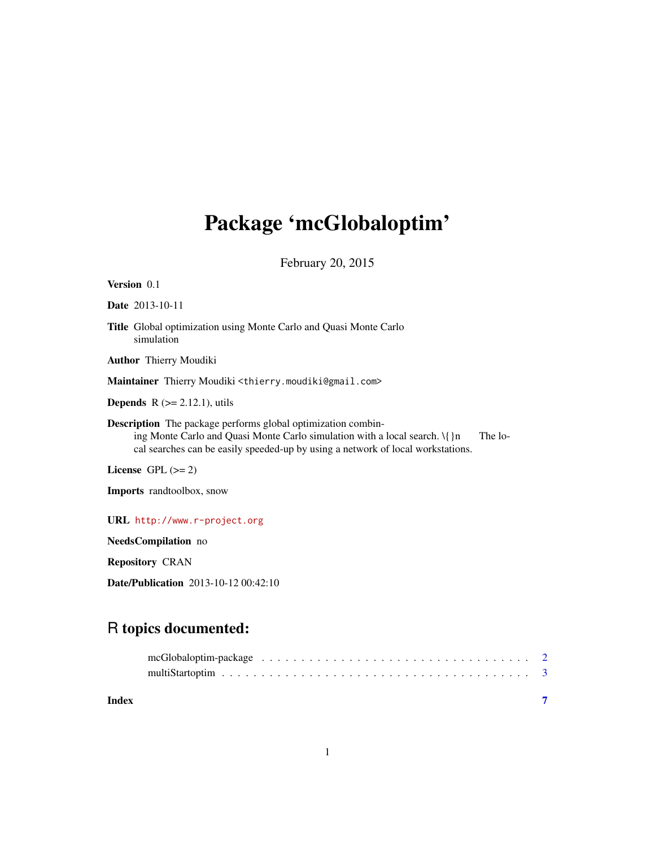## <span id="page-0-0"></span>Package 'mcGlobaloptim'

February 20, 2015

| <b>Version</b> 0.1                                                                                                                                                                                                                        |         |
|-------------------------------------------------------------------------------------------------------------------------------------------------------------------------------------------------------------------------------------------|---------|
| <b>Date</b> 2013-10-11                                                                                                                                                                                                                    |         |
| <b>Title</b> Global optimization using Monte Carlo and Quasi Monte Carlo<br>simulation                                                                                                                                                    |         |
| <b>Author</b> Thierry Moudiki                                                                                                                                                                                                             |         |
| Maintainer Thierry Moudiki <thierry.moudiki@gmail.com></thierry.moudiki@gmail.com>                                                                                                                                                        |         |
| <b>Depends</b> $R$ ( $>= 2.12.1$ ), utils                                                                                                                                                                                                 |         |
| <b>Description</b> The package performs global optimization combin-<br>ing Monte Carlo and Quasi Monte Carlo simulation with a local search. $\{\n}$ n<br>cal searches can be easily speeded-up by using a network of local workstations. | The lo- |
| License $GPL (= 2)$                                                                                                                                                                                                                       |         |
| <b>Imports</b> randtoolbox, snow                                                                                                                                                                                                          |         |
| URL http://www.r-project.org                                                                                                                                                                                                              |         |

NeedsCompilation no

Repository CRAN

Date/Publication 2013-10-12 00:42:10

### R topics documented:

**Index** [7](#page-6-0) **7**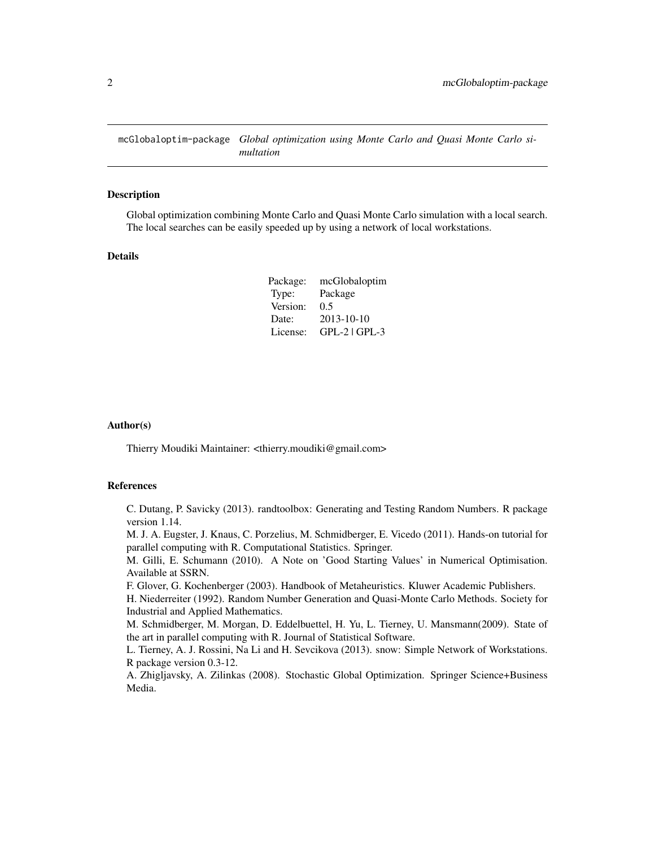<span id="page-1-0"></span>mcGlobaloptim-package *Global optimization using Monte Carlo and Quasi Monte Carlo simultation*

#### Description

Global optimization combining Monte Carlo and Quasi Monte Carlo simulation with a local search. The local searches can be easily speeded up by using a network of local workstations.

#### Details

| Package: | mcGlobaloptim   |
|----------|-----------------|
| Type:    | Package         |
| Version: | 0.5             |
| Date:    | 2013-10-10      |
| License: | $GPL-2$ $GPL-3$ |

#### Author(s)

Thierry Moudiki Maintainer: <thierry.moudiki@gmail.com>

#### References

C. Dutang, P. Savicky (2013). randtoolbox: Generating and Testing Random Numbers. R package version 1.14.

M. J. A. Eugster, J. Knaus, C. Porzelius, M. Schmidberger, E. Vicedo (2011). Hands-on tutorial for parallel computing with R. Computational Statistics. Springer.

M. Gilli, E. Schumann (2010). A Note on 'Good Starting Values' in Numerical Optimisation. Available at SSRN.

F. Glover, G. Kochenberger (2003). Handbook of Metaheuristics. Kluwer Academic Publishers.

H. Niederreiter (1992). Random Number Generation and Quasi-Monte Carlo Methods. Society for Industrial and Applied Mathematics.

M. Schmidberger, M. Morgan, D. Eddelbuettel, H. Yu, L. Tierney, U. Mansmann(2009). State of the art in parallel computing with R. Journal of Statistical Software.

L. Tierney, A. J. Rossini, Na Li and H. Sevcikova (2013). snow: Simple Network of Workstations. R package version 0.3-12.

A. Zhigljavsky, A. Zilinkas (2008). Stochastic Global Optimization. Springer Science+Business Media.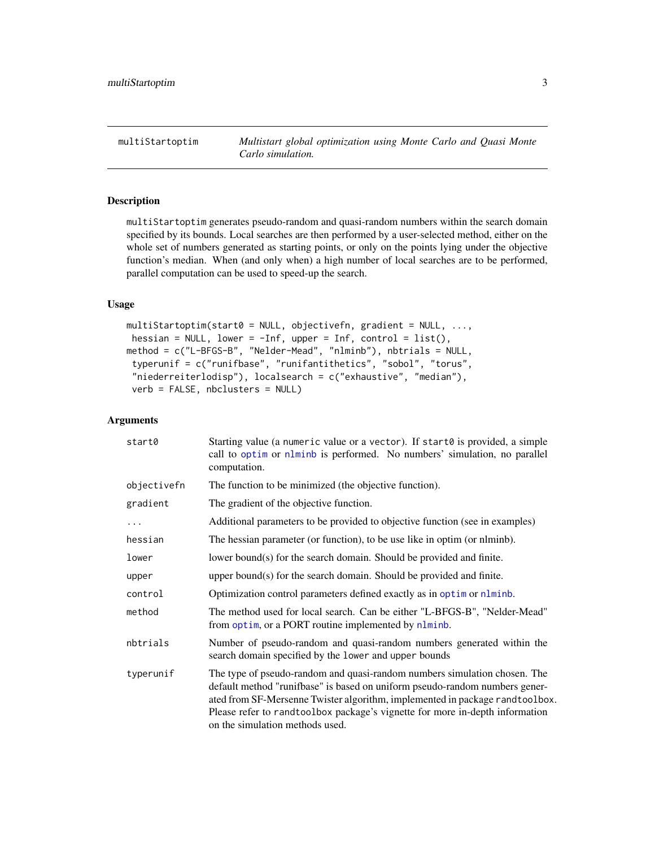<span id="page-2-0"></span>multiStartoptim *Multistart global optimization using Monte Carlo and Quasi Monte Carlo simulation.*

#### Description

multiStartoptim generates pseudo-random and quasi-random numbers within the search domain specified by its bounds. Local searches are then performed by a user-selected method, either on the whole set of numbers generated as starting points, or only on the points lying under the objective function's median. When (and only when) a high number of local searches are to be performed, parallel computation can be used to speed-up the search.

#### Usage

```
multistartoptim(start@ = NULL, objectivefn, gradient = NULL, ...hessian = NULL, lower = -Inf, upper = Inf, control = list(),
method = c("L-BFGS-B", "Nelder-Mead", "nlminb"), nbtrials = NULL,
 typerunif = c("runifbase", "runifantithetics", "sobol", "torus",
 "niederreiterlodisp"), localsearch = c("exhaustive", "median"),
 verb = FALSE, nbclusters = NULL)
```
#### Arguments

| start0      | Starting value (a numeric value or a vector). If start0 is provided, a simple<br>call to optim or nlminb is performed. No numbers' simulation, no parallel<br>computation.                                                                                                                                                                                  |
|-------------|-------------------------------------------------------------------------------------------------------------------------------------------------------------------------------------------------------------------------------------------------------------------------------------------------------------------------------------------------------------|
| objectivefn | The function to be minimized (the objective function).                                                                                                                                                                                                                                                                                                      |
| gradient    | The gradient of the objective function.                                                                                                                                                                                                                                                                                                                     |
| $\cdots$    | Additional parameters to be provided to objective function (see in examples)                                                                                                                                                                                                                                                                                |
| hessian     | The hessian parameter (or function), to be use like in optim (or nlminb).                                                                                                                                                                                                                                                                                   |
| lower       | lower bound(s) for the search domain. Should be provided and finite.                                                                                                                                                                                                                                                                                        |
| upper       | upper bound(s) for the search domain. Should be provided and finite.                                                                                                                                                                                                                                                                                        |
| control     | Optimization control parameters defined exactly as in optim or nlminb.                                                                                                                                                                                                                                                                                      |
| method      | The method used for local search. Can be either "L-BFGS-B", "Nelder-Mead"<br>from optim, or a PORT routine implemented by nlminb.                                                                                                                                                                                                                           |
| nbtrials    | Number of pseudo-random and quasi-random numbers generated within the<br>search domain specified by the lower and upper bounds                                                                                                                                                                                                                              |
| typerunif   | The type of pseudo-random and quasi-random numbers simulation chosen. The<br>default method "runifbase" is based on uniform pseudo-random numbers gener-<br>ated from SF-Mersenne Twister algorithm, implemented in package randtoolbox.<br>Please refer to randtoolbox package's vignette for more in-depth information<br>on the simulation methods used. |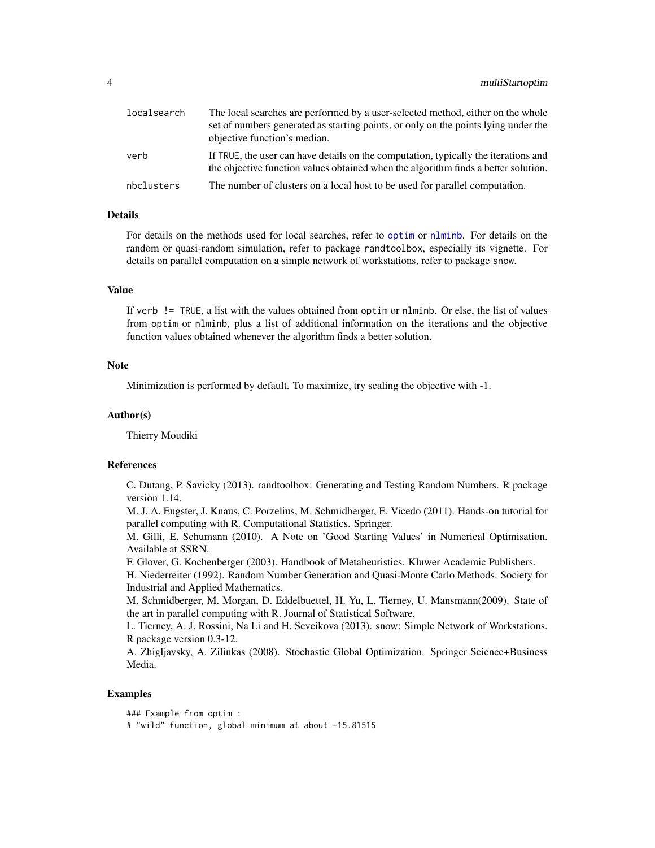<span id="page-3-0"></span>

| localsearch | The local searches are performed by a user-selected method, either on the whole<br>set of numbers generated as starting points, or only on the points lying under the<br>objective function's median. |
|-------------|-------------------------------------------------------------------------------------------------------------------------------------------------------------------------------------------------------|
| verb        | If TRUE, the user can have details on the computation, typically the iterations and<br>the objective function values obtained when the algorithm finds a better solution.                             |
| nbclusters  | The number of clusters on a local host to be used for parallel computation.                                                                                                                           |

#### Details

For details on the methods used for local searches, refer to [optim](#page-0-0) or [nlminb](#page-0-0). For details on the random or quasi-random simulation, refer to package randtoolbox, especially its vignette. For details on parallel computation on a simple network of workstations, refer to package snow.

#### Value

If verb != TRUE, a list with the values obtained from optim or nlminb. Or else, the list of values from optim or nlminb, plus a list of additional information on the iterations and the objective function values obtained whenever the algorithm finds a better solution.

#### **Note**

Minimization is performed by default. To maximize, try scaling the objective with -1.

#### Author(s)

Thierry Moudiki

#### References

C. Dutang, P. Savicky (2013). randtoolbox: Generating and Testing Random Numbers. R package version 1.14.

M. J. A. Eugster, J. Knaus, C. Porzelius, M. Schmidberger, E. Vicedo (2011). Hands-on tutorial for parallel computing with R. Computational Statistics. Springer.

M. Gilli, E. Schumann (2010). A Note on 'Good Starting Values' in Numerical Optimisation. Available at SSRN.

F. Glover, G. Kochenberger (2003). Handbook of Metaheuristics. Kluwer Academic Publishers.

H. Niederreiter (1992). Random Number Generation and Quasi-Monte Carlo Methods. Society for Industrial and Applied Mathematics.

M. Schmidberger, M. Morgan, D. Eddelbuettel, H. Yu, L. Tierney, U. Mansmann(2009). State of the art in parallel computing with R. Journal of Statistical Software.

L. Tierney, A. J. Rossini, Na Li and H. Sevcikova (2013). snow: Simple Network of Workstations. R package version 0.3-12.

A. Zhigljavsky, A. Zilinkas (2008). Stochastic Global Optimization. Springer Science+Business Media.

#### Examples

### Example from optim : # "wild" function, global minimum at about -15.81515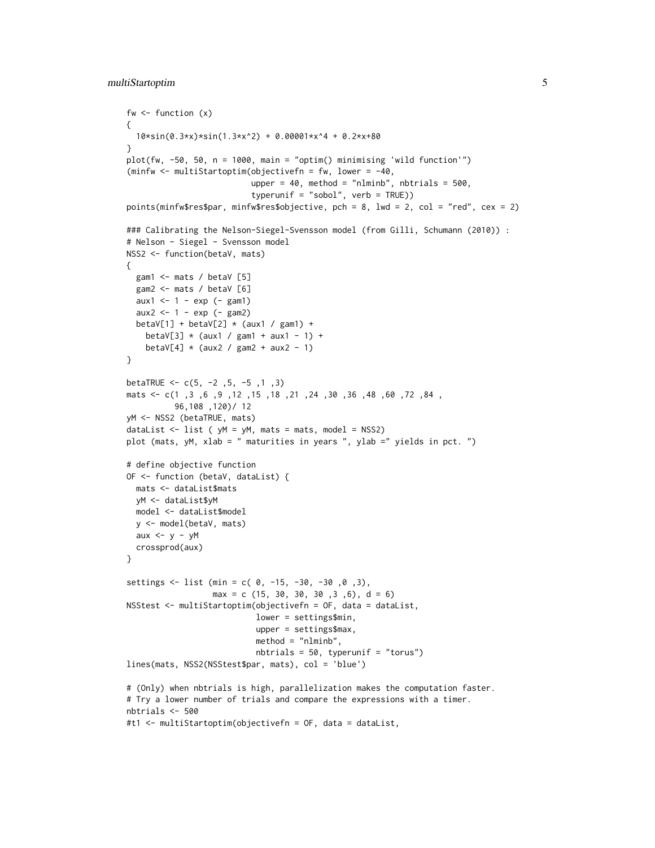```
fw \leftarrow function (x){
 10*sin(0.3*x)*sin(1.3*x^2) + 0.00001*x^4 + 0.2*x+80
}
plot(fw, -50, 50, n = 1000, main = "optim() minimising 'wild function'")
(minfw <- multiStartoptim(objectivefn = fw, lower = -40,
                          upper = 40, method = "nlminb", nbtrials = 500,
                          typerunif = "sobol", verb = TRUE)points(minfw$res$par, minfw$res$objective, pch = 8, lwd = 2, col = "red", cex = 2)
### Calibrating the Nelson-Siegel-Svensson model (from Gilli, Schumann (2010)) :
# Nelson - Siegel - Svensson model
NSS2 <- function(betaV, mats)
{
  gam1 <- mats / betaV [5]
  gam2 <- mats / betaV [6]
  aux1 < -1 - exp (- gam1)aux2 < - 1 - exp (- gam2)betaV[1] + betaV[2] \star (aux1 / gam1) +
   betaV[3] * (aux1 / gam1 + aux1 - 1) +betaV[4] \star (aux2 / gam2 + aux2 - 1)
}
betaTRUE <-c(5, -2, 5, -5, 1, 3)mats <- c(1 ,3 ,6 ,9 ,12 ,15 ,18 ,21 ,24 ,30 ,36 ,48 ,60 ,72 ,84 ,
          96,108 ,120)/ 12
yM <- NSS2 (betaTRUE, mats)
dataList \le list ( yM = yM, mats = mats, model = NSS2)
plot (mats, yM, xlab = " maturities in years ", ylab =" yields in pct. ")
# define objective function
OF <- function (betaV, dataList) {
 mats <- dataList$mats
 yM <- dataList$yM
 model <- dataList$model
  y <- model(betaV, mats)
  aux <-y - yMcrossprod(aux)
}
settings \le list (min = c( 0, -15, -30, -30, 0, 3),
                  max = c (15, 30, 30, 30, 30, 3, 6), d = 6)NSStest <- multiStartoptim(objectivefn = OF, data = dataList,
                           lower = settings$min,
                           upper = settings$max,
                           method = "nlminb",
                           nbtrials = 50, typerunif = "torus")
lines(mats, NSS2(NSStest$par, mats), col = 'blue')
# (Only) when nbtrials is high, parallelization makes the computation faster.
# Try a lower number of trials and compare the expressions with a timer.
nbtrials <- 500
#t1 <- multiStartoptim(objectivefn = OF, data = dataList,
```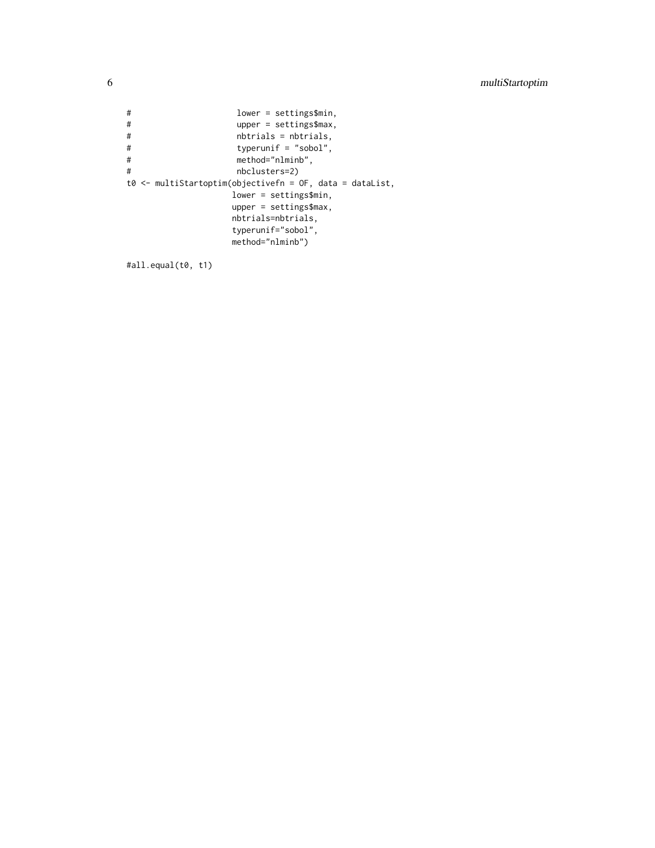```
# lower = settings$min,
# upper = settings$max,
# nbtrials = nbtrials,<br># typerunif = "sobol",
# typerunif = "sobol",
#
method="nlminb",<br>
#
moclusters=2)
                   nbclusters=2)t0 <- multiStartoptim(objectivefn = OF, data = dataList,
                  lower = settings$min,
                  upper = settings$max,
                  nbtrials=nbtrials,
                  typerunif="sobol",
                  method="nlminb")
```

```
#all.equal(t0, t1)
```